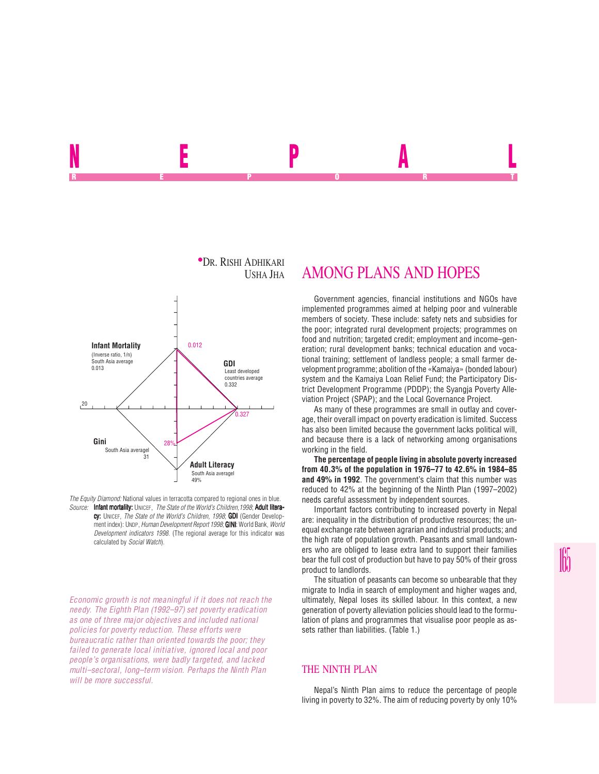## **•Dr. Rishi Adhikari**<br>Usha Jha **GDI** Least developed countries average 0.332 South Asia averagel 31 **Gini Infant Mortality** (Inverse ratio, 1/n) South Asia average 0.013 28% 0.012 0.327 20

*The Equity Diamond:* National values in terracotta compared to regional ones in blue. *Source:* Infant mortality: UNICEF, *The State of the World's Children,1998*; Adult literacy: UNICEF, *The State of the World's Children, 1998*; GDI (Gender Development index): UNDP, *Human Development Report 1998*; **GINI:** World Bank, *World Development indicators 1998*. (The regional average for this indicator was calculated by *Social Watch*).

**Adult Literacy** South Asia averagel 49%

*Economic growth is not meaningful if it does not reach the needy. The Eighth Plan (1992–97) set poverty eradication as one of three major objectives and included national policies for poverty reduction. These efforts were bureaucratic rather than oriented towards the poor; they failed to generate local initiative, ignored local and poor people's organisations, were badly targeted, and lacked multi–sectoral, long–term vision. Perhaps the Ninth Plan will be more successful.*

# AMONG PLANS AND HOPES

NEPAL REPORT OF STATE REPORT OF STATE REPORT OF STATE REPORT OF STATE REPORT OF STATE REPORT OF STATE REPORT OF STATE REPORT OF STATE REPORT OF STATE REPORT OF STATE REPORT OF STATE REPORT OF STATE REPORT OF STATE REPORT OF STAT

> Government agencies, financial institutions and NGOs have implemented programmes aimed at helping poor and vulnerable members of society. These include: safety nets and subsidies for the poor; integrated rural development projects; programmes on food and nutrition; targeted credit; employment and income–generation; rural development banks; technical education and vocational training; settlement of landless people; a small farmer development programme; abolition of the «Kamaiya» (bonded labour) system and the Kamaiya Loan Relief Fund; the Participatory District Development Programme (PDDP); the Syangja Poverty Alleviation Project (SPAP); and the Local Governance Project.

> As many of these programmes are small in outlay and coverage, their overall impact on poverty eradication is limited. Success has also been limited because the government lacks political will, and because there is a lack of networking among organisations working in the field.

> **The percentage of people living in absolute poverty increased from 40.3% of the population in 1976–77 to 42.6% in 1984–85 and 49% in 1992**. The government's claim that this number was reduced to 42% at the beginning of the Ninth Plan (1997–2002) needs careful assessment by independent sources.

> Important factors contributing to increased poverty in Nepal are: inequality in the distribution of productive resources; the unequal exchange rate between agrarian and industrial products; and the high rate of population growth. Peasants and small landowners who are obliged to lease extra land to support their families bear the full cost of production but have to pay 50% of their gross product to landlords.

> The situation of peasants can become so unbearable that they migrate to India in search of employment and higher wages and, ultimately, Nepal loses its skilled labour. In this context, a new generation of poverty alleviation policies should lead to the formulation of plans and programmes that visualise poor people as assets rather than liabilities. (Table 1.)

### THE NINTH PLAN

Nepal's Ninth Plan aims to reduce the percentage of people living in poverty to 32%. The aim of reducing poverty by only 10%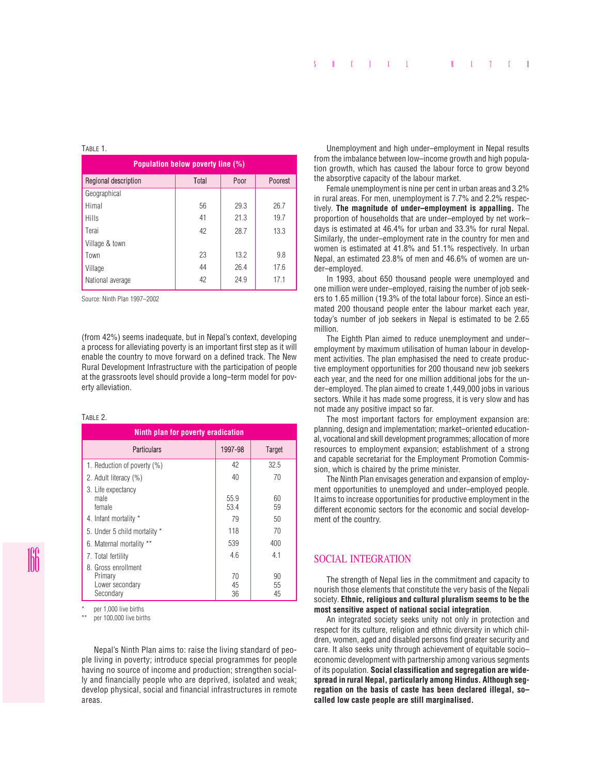#### TABLE 1.

| Population below poverty line (%) |       |      |         |
|-----------------------------------|-------|------|---------|
| Regional description              | Total | Poor | Poorest |
| Geographical                      |       |      |         |
| Himal                             | 56    | 29.3 | 26.7    |
| Hills                             | 41    | 21.3 | 19.7    |
| Terai                             | 42    | 28.7 | 13.3    |
| Village & town                    |       |      |         |
| Town                              | 23    | 13.2 | 9.8     |
| Village                           | 44    | 26.4 | 17.6    |
| National average                  | 42    | 24.9 | 17.1    |

Source: Ninth Plan 1997–2002

(from 42%) seems inadequate, but in Nepal's context, developing a process for alleviating poverty is an important first step as it will enable the country to move forward on a defined track. The New Rural Development Infrastructure with the participation of people at the grassroots level should provide a long–term model for poverty alleviation.

#### TABLE 2.

| Ninth plan for poverty eradication                            |                |                |  |
|---------------------------------------------------------------|----------------|----------------|--|
| <b>Particulars</b>                                            | 1997-98        | <b>Target</b>  |  |
| 1. Reduction of poverty (%)                                   | 42             | 32.5           |  |
| 2. Adult literacy (%)                                         | 40             | 70             |  |
| 3. Life expectancy<br>male<br>female                          | 55.9<br>53.4   | 60<br>59       |  |
| 4. Infant mortality *                                         | 79             | 50             |  |
| 5. Under 5 child mortality *                                  | 118            | 70             |  |
| 6. Maternal mortality **                                      | 539            | 400            |  |
| 7. Total fertility                                            | 4.6            | 4.1            |  |
| 8 Gross enrollment<br>Primary<br>Lower secondary<br>Secondary | 70<br>45<br>36 | 90<br>55<br>45 |  |

per 1,000 live births

per 100,000 live births

Nepal's Ninth Plan aims to: raise the living standard of people living in poverty; introduce special programmes for people having no source of income and production; strengthen socially and financially people who are deprived, isolated and weak; develop physical, social and financial infrastructures in remote areas.

Unemployment and high under–employment in Nepal results from the imbalance between low–income growth and high population growth, which has caused the labour force to grow beyond the absorptive capacity of the labour market.

Female unemployment is nine per cent in urban areas and 3.2% in rural areas. For men, unemployment is 7.7% and 2.2% respectively. **The magnitude of under–employment is appalling.** The proportion of households that are under–employed by net work– days is estimated at 46.4% for urban and 33.3% for rural Nepal. Similarly, the under–employment rate in the country for men and women is estimated at 41.8% and 51.1% respectively. In urban Nepal, an estimated 23.8% of men and 46.6% of women are under–employed.

In 1993, about 650 thousand people were unemployed and one million were under–employed, raising the number of job seekers to 1.65 million (19.3% of the total labour force). Since an estimated 200 thousand people enter the labour market each year, today's number of job seekers in Nepal is estimated to be 2.65 million.

The Eighth Plan aimed to reduce unemployment and under– employment by maximum utilisation of human labour in development activities. The plan emphasised the need to create productive employment opportunities for 200 thousand new job seekers each year, and the need for one million additional jobs for the under–employed. The plan aimed to create 1,449,000 jobs in various sectors. While it has made some progress, it is very slow and has not made any positive impact so far.

The most important factors for employment expansion are: planning, design and implementation; market–oriented educational, vocational and skill development programmes; allocation of more resources to employment expansion; establishment of a strong and capable secretariat for the Employment Promotion Commission, which is chaired by the prime minister.

The Ninth Plan envisages generation and expansion of employment opportunities to unemployed and under–employed people. It aims to increase opportunities for productive employment in the different economic sectors for the economic and social development of the country.

## SOCIAL INTEGRATION

The strength of Nepal lies in the commitment and capacity to nourish those elements that constitute the very basis of the Nepali society. **Ethnic, religious and cultural pluralism seems to be the most sensitive aspect of national social integration**.

An integrated society seeks unity not only in protection and respect for its culture, religion and ethnic diversity in which children, women, aged and disabled persons find greater security and care. It also seeks unity through achievement of equitable socio– economic development with partnership among various segments of its population. **Social classification and segregation are widespread in rural Nepal, particularly among Hindus. Although segregation on the basis of caste has been declared illegal, so– called low caste people are still marginalised.**